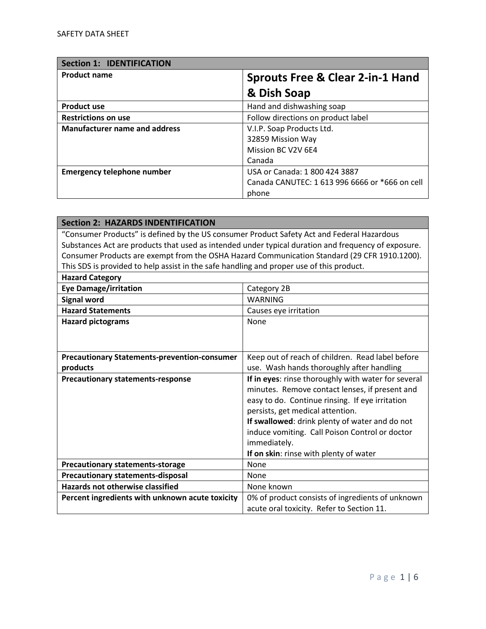| <b>Section 1: IDENTIFICATION</b>     |                                                |
|--------------------------------------|------------------------------------------------|
| <b>Product name</b>                  | <b>Sprouts Free &amp; Clear 2-in-1 Hand</b>    |
|                                      | & Dish Soap                                    |
| <b>Product use</b>                   | Hand and dishwashing soap                      |
| <b>Restrictions on use</b>           | Follow directions on product label             |
| <b>Manufacturer name and address</b> | V.I.P. Soap Products Ltd.                      |
|                                      | 32859 Mission Way                              |
|                                      | Mission BC V2V 6E4                             |
|                                      | Canada                                         |
| <b>Emergency telephone number</b>    | USA or Canada: 1 800 424 3887                  |
|                                      | Canada CANUTEC: 1 613 996 6666 or *666 on cell |
|                                      | phone                                          |

| <b>Section 2: HAZARDS INDENTIFICATION</b>                                                  |                                                                                                     |
|--------------------------------------------------------------------------------------------|-----------------------------------------------------------------------------------------------------|
| "Consumer Products" is defined by the US consumer Product Safety Act and Federal Hazardous |                                                                                                     |
|                                                                                            | Substances Act are products that used as intended under typical duration and frequency of exposure. |
|                                                                                            | Consumer Products are exempt from the OSHA Hazard Communication Standard (29 CFR 1910.1200).        |
| This SDS is provided to help assist in the safe handling and proper use of this product.   |                                                                                                     |
| <b>Hazard Category</b>                                                                     |                                                                                                     |
| <b>Eye Damage/irritation</b>                                                               | Category 2B                                                                                         |
| <b>Signal word</b>                                                                         | <b>WARNING</b>                                                                                      |
| <b>Hazard Statements</b>                                                                   | Causes eye irritation                                                                               |
| <b>Hazard pictograms</b>                                                                   | None                                                                                                |
|                                                                                            |                                                                                                     |
|                                                                                            |                                                                                                     |
| <b>Precautionary Statements-prevention-consumer</b>                                        | Keep out of reach of children. Read label before                                                    |
| products                                                                                   | use. Wash hands thoroughly after handling                                                           |
| <b>Precautionary statements-response</b>                                                   | If in eyes: rinse thoroughly with water for several                                                 |
|                                                                                            | minutes. Remove contact lenses, if present and                                                      |
|                                                                                            | easy to do. Continue rinsing. If eye irritation                                                     |
|                                                                                            | persists, get medical attention.                                                                    |
|                                                                                            | If swallowed: drink plenty of water and do not                                                      |
|                                                                                            | induce vomiting. Call Poison Control or doctor                                                      |
|                                                                                            | immediately.                                                                                        |
|                                                                                            | If on skin: rinse with plenty of water                                                              |
| <b>Precautionary statements-storage</b>                                                    | None                                                                                                |
| <b>Precautionary statements-disposal</b>                                                   | None                                                                                                |
| <b>Hazards not otherwise classified</b>                                                    | None known                                                                                          |
| Percent ingredients with unknown acute toxicity                                            | 0% of product consists of ingredients of unknown                                                    |
|                                                                                            | acute oral toxicity. Refer to Section 11.                                                           |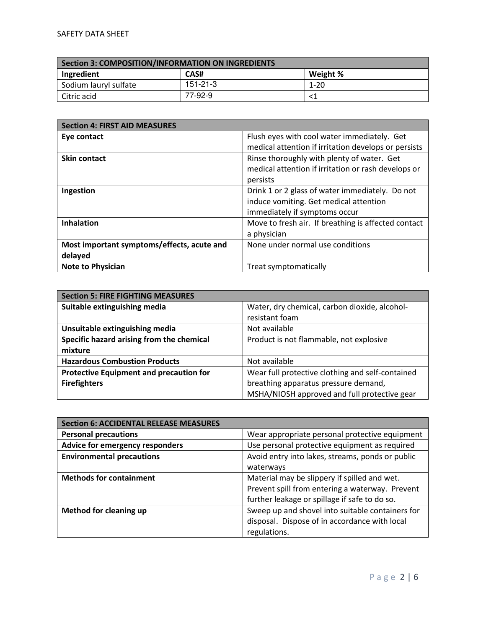| Section 3: COMPOSITION/INFORMATION ON INGREDIENTS |          |          |
|---------------------------------------------------|----------|----------|
| Ingredient                                        | CAS#     | Weight % |
| Sodium lauryl sulfate                             | 151-21-3 | $1 - 20$ |
| Citric acid                                       | 77-92-9  |          |

| <b>Section 4: FIRST AID MEASURES</b>       |                                                      |
|--------------------------------------------|------------------------------------------------------|
| Eye contact                                | Flush eyes with cool water immediately. Get          |
|                                            | medical attention if irritation develops or persists |
| <b>Skin contact</b>                        | Rinse thoroughly with plenty of water. Get           |
|                                            | medical attention if irritation or rash develops or  |
|                                            | persists                                             |
| Ingestion                                  | Drink 1 or 2 glass of water immediately. Do not      |
|                                            | induce vomiting. Get medical attention               |
|                                            | immediately if symptoms occur                        |
| <b>Inhalation</b>                          | Move to fresh air. If breathing is affected contact  |
|                                            | a physician                                          |
| Most important symptoms/effects, acute and | None under normal use conditions                     |
| delayed                                    |                                                      |
| <b>Note to Physician</b>                   | Treat symptomatically                                |

| <b>Section 5: FIRE FIGHTING MEASURES</b>       |                                                  |
|------------------------------------------------|--------------------------------------------------|
| Suitable extinguishing media                   | Water, dry chemical, carbon dioxide, alcohol-    |
|                                                | resistant foam                                   |
| Unsuitable extinguishing media                 | Not available                                    |
| Specific hazard arising from the chemical      | Product is not flammable, not explosive          |
| mixture                                        |                                                  |
| <b>Hazardous Combustion Products</b>           | Not available                                    |
| <b>Protective Equipment and precaution for</b> | Wear full protective clothing and self-contained |
| <b>Firefighters</b>                            | breathing apparatus pressure demand,             |
|                                                | MSHA/NIOSH approved and full protective gear     |

| <b>Section 6: ACCIDENTAL RELEASE MEASURES</b> |                                                  |
|-----------------------------------------------|--------------------------------------------------|
| <b>Personal precautions</b>                   | Wear appropriate personal protective equipment   |
| Advice for emergency responders               | Use personal protective equipment as required    |
| <b>Environmental precautions</b>              | Avoid entry into lakes, streams, ponds or public |
|                                               | waterways                                        |
| <b>Methods for containment</b>                | Material may be slippery if spilled and wet.     |
|                                               | Prevent spill from entering a waterway. Prevent  |
|                                               | further leakage or spillage if safe to do so.    |
| <b>Method for cleaning up</b>                 | Sweep up and shovel into suitable containers for |
|                                               | disposal. Dispose of in accordance with local    |
|                                               | regulations.                                     |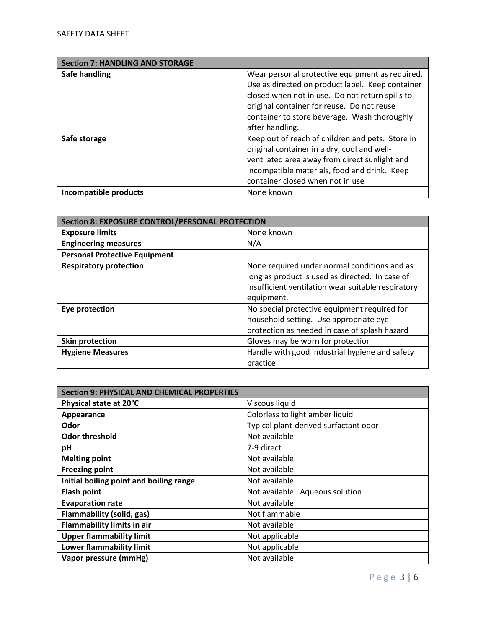| <b>Section 7: HANDLING AND STORAGE</b> |                                                  |
|----------------------------------------|--------------------------------------------------|
| Safe handling                          | Wear personal protective equipment as required.  |
|                                        | Use as directed on product label. Keep container |
|                                        | closed when not in use. Do not return spills to  |
|                                        | original container for reuse. Do not reuse       |
|                                        | container to store beverage. Wash thoroughly     |
|                                        | after handling.                                  |
| Safe storage                           | Keep out of reach of children and pets. Store in |
|                                        | original container in a dry, cool and well-      |
|                                        | ventilated area away from direct sunlight and    |
|                                        | incompatible materials, food and drink. Keep     |
|                                        | container closed when not in use                 |
| Incompatible products                  | None known                                       |

| <b>Section 8: EXPOSURE CONTROL/PERSONAL PROTECTION</b> |                                                    |
|--------------------------------------------------------|----------------------------------------------------|
| <b>Exposure limits</b>                                 | None known                                         |
| <b>Engineering measures</b>                            | N/A                                                |
| <b>Personal Protective Equipment</b>                   |                                                    |
| <b>Respiratory protection</b>                          | None required under normal conditions and as       |
|                                                        | long as product is used as directed. In case of    |
|                                                        | insufficient ventilation wear suitable respiratory |
|                                                        | equipment.                                         |
| Eye protection                                         | No special protective equipment required for       |
|                                                        | household setting. Use appropriate eye             |
|                                                        | protection as needed in case of splash hazard      |
| <b>Skin protection</b>                                 | Gloves may be worn for protection                  |
| <b>Hygiene Measures</b>                                | Handle with good industrial hygiene and safety     |
|                                                        | practice                                           |

| <b>Section 9: PHYSICAL AND CHEMICAL PROPERTIES</b> |                                       |
|----------------------------------------------------|---------------------------------------|
| Physical state at 20°C                             | Viscous liquid                        |
| Appearance                                         | Colorless to light amber liquid       |
| Odor                                               | Typical plant-derived surfactant odor |
| <b>Odor threshold</b>                              | Not available                         |
| pH                                                 | 7-9 direct                            |
| <b>Melting point</b>                               | Not available                         |
| <b>Freezing point</b>                              | Not available                         |
| Initial boiling point and boiling range            | Not available                         |
| <b>Flash point</b>                                 | Not available. Aqueous solution       |
| <b>Evaporation rate</b>                            | Not available                         |
| Flammability (solid, gas)                          | Not flammable                         |
| <b>Flammability limits in air</b>                  | Not available                         |
| <b>Upper flammability limit</b>                    | Not applicable                        |
| Lower flammability limit                           | Not applicable                        |
| Vapor pressure (mmHg)                              | Not available                         |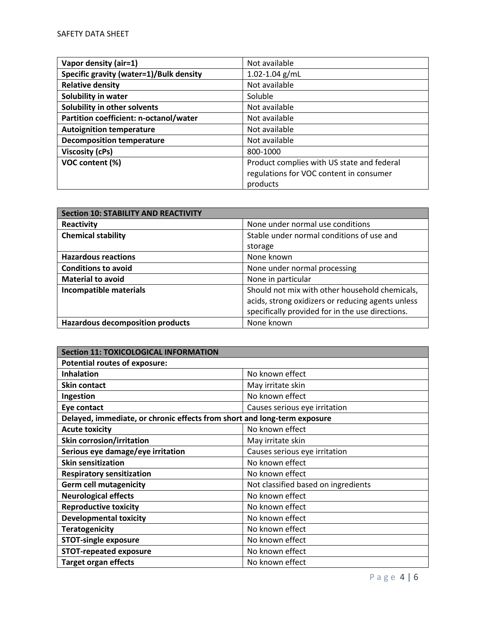| Vapor density (air=1)                   | Not available                                                                                     |
|-----------------------------------------|---------------------------------------------------------------------------------------------------|
| Specific gravity (water=1)/Bulk density | $1.02 - 1.04$ g/mL                                                                                |
| <b>Relative density</b>                 | Not available                                                                                     |
| Solubility in water                     | Soluble                                                                                           |
| Solubility in other solvents            | Not available                                                                                     |
| Partition coefficient: n-octanol/water  | Not available                                                                                     |
| <b>Autoignition temperature</b>         | Not available                                                                                     |
| <b>Decomposition temperature</b>        | Not available                                                                                     |
| <b>Viscosity (cPs)</b>                  | 800-1000                                                                                          |
| VOC content (%)                         | Product complies with US state and federal<br>regulations for VOC content in consumer<br>products |

| <b>Section 10: STABILITY AND REACTIVITY</b> |                                                   |
|---------------------------------------------|---------------------------------------------------|
| Reactivity                                  | None under normal use conditions                  |
| <b>Chemical stability</b>                   | Stable under normal conditions of use and         |
|                                             | storage                                           |
| <b>Hazardous reactions</b>                  | None known                                        |
| <b>Conditions to avoid</b>                  | None under normal processing                      |
| <b>Material to avoid</b>                    | None in particular                                |
| <b>Incompatible materials</b>               | Should not mix with other household chemicals,    |
|                                             | acids, strong oxidizers or reducing agents unless |
|                                             | specifically provided for in the use directions.  |
| <b>Hazardous decomposition products</b>     | None known                                        |

| <b>Section 11: TOXICOLOGICAL INFORMATION</b>                             |                                     |  |
|--------------------------------------------------------------------------|-------------------------------------|--|
| <b>Potential routes of exposure:</b>                                     |                                     |  |
| <b>Inhalation</b>                                                        | No known effect                     |  |
| <b>Skin contact</b>                                                      | May irritate skin                   |  |
| Ingestion                                                                | No known effect                     |  |
| Eye contact                                                              | Causes serious eye irritation       |  |
| Delayed, immediate, or chronic effects from short and long-term exposure |                                     |  |
| <b>Acute toxicity</b>                                                    | No known effect                     |  |
| <b>Skin corrosion/irritation</b>                                         | May irritate skin                   |  |
| Serious eye damage/eye irritation                                        | Causes serious eye irritation       |  |
| <b>Skin sensitization</b>                                                | No known effect                     |  |
| <b>Respiratory sensitization</b>                                         | No known effect                     |  |
| <b>Germ cell mutagenicity</b>                                            | Not classified based on ingredients |  |
| <b>Neurological effects</b>                                              | No known effect                     |  |
| <b>Reproductive toxicity</b>                                             | No known effect                     |  |
| <b>Developmental toxicity</b>                                            | No known effect                     |  |
| <b>Teratogenicity</b>                                                    | No known effect                     |  |
| <b>STOT-single exposure</b>                                              | No known effect                     |  |
| <b>STOT-repeated exposure</b>                                            | No known effect                     |  |
| <b>Target organ effects</b>                                              | No known effect                     |  |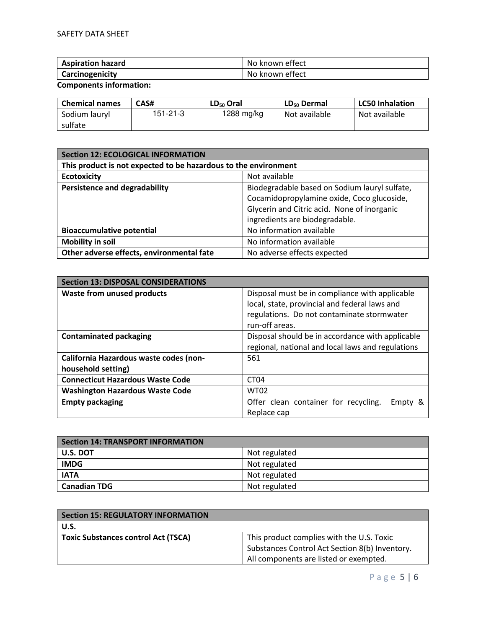| <b>Aspiration hazard</b> | No known effect |
|--------------------------|-----------------|
| Carcinogenicity          | No known effect |

**Components information:** 

| <b>Chemical names</b> | CAS#     | LD <sub>50</sub> Oral | LD <sub>50</sub> Dermal | <b>LC50 Inhalation</b> |
|-----------------------|----------|-----------------------|-------------------------|------------------------|
| Sodium lauryl         | 151-21-3 | 1288 mg/kg            | Not available           | Not available          |
| sulfate               |          |                       |                         |                        |

| <b>Section 12: ECOLOGICAL INFORMATION</b>                       |                                               |  |
|-----------------------------------------------------------------|-----------------------------------------------|--|
| This product is not expected to be hazardous to the environment |                                               |  |
| Not available<br><b>Ecotoxicity</b>                             |                                               |  |
| <b>Persistence and degradability</b>                            | Biodegradable based on Sodium lauryl sulfate, |  |
|                                                                 | Cocamidopropylamine oxide, Coco glucoside,    |  |
|                                                                 | Glycerin and Citric acid. None of inorganic   |  |
|                                                                 | ingredients are biodegradable.                |  |
| <b>Bioaccumulative potential</b>                                | No information available                      |  |
| <b>Mobility in soil</b>                                         | No information available                      |  |
| Other adverse effects, environmental fate                       | No adverse effects expected                   |  |

| <b>Section 13: DISPOSAL CONSIDERATIONS</b> |                                                   |  |
|--------------------------------------------|---------------------------------------------------|--|
| <b>Waste from unused products</b>          | Disposal must be in compliance with applicable    |  |
|                                            | local, state, provincial and federal laws and     |  |
|                                            | regulations. Do not contaminate stormwater        |  |
|                                            | run-off areas.                                    |  |
| <b>Contaminated packaging</b>              | Disposal should be in accordance with applicable  |  |
|                                            | regional, national and local laws and regulations |  |
| California Hazardous waste codes (non-     | 561                                               |  |
| household setting)                         |                                                   |  |
| <b>Connecticut Hazardous Waste Code</b>    | CT <sub>04</sub>                                  |  |
| <b>Washington Hazardous Waste Code</b>     | <b>WT02</b>                                       |  |
| <b>Empty packaging</b>                     | Offer clean container for recycling.<br>Empty &   |  |
|                                            | Replace cap                                       |  |

| Section 14: TRANSPORT INFORMATION |               |
|-----------------------------------|---------------|
| U.S. DOT                          | Not regulated |
| <b>IMDG</b>                       | Not regulated |
| <b>IATA</b>                       | Not regulated |
| <b>Canadian TDG</b>               | Not regulated |

| <b>Section 15: REGULATORY INFORMATION</b>  |                                                |
|--------------------------------------------|------------------------------------------------|
| U.S.                                       |                                                |
| <b>Toxic Substances control Act (TSCA)</b> | This product complies with the U.S. Toxic      |
|                                            | Substances Control Act Section 8(b) Inventory. |
|                                            | All components are listed or exempted.         |